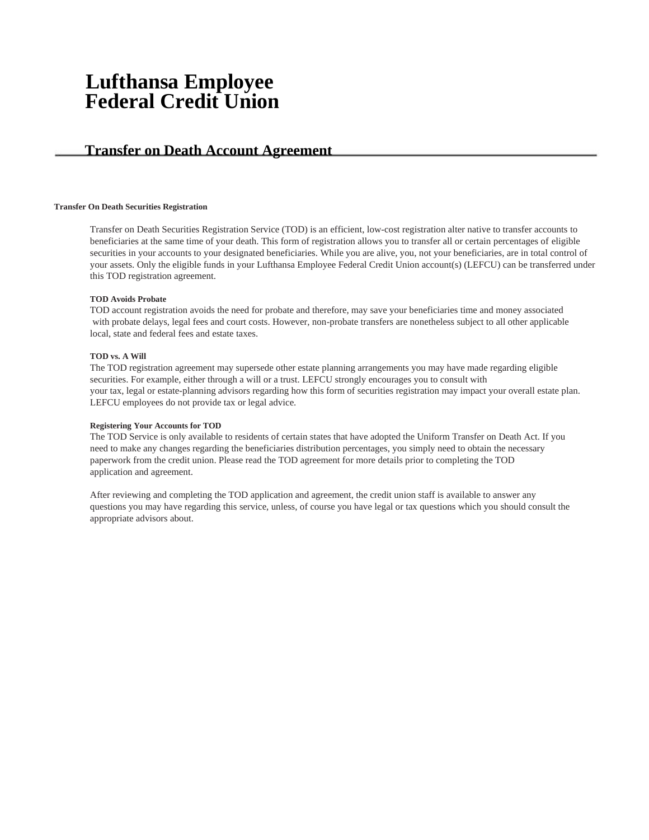# **Lufthansa Employee Federal Credit Union**

# **Transfer on Death Account Agreement**

### **Transfer On Death Securities Registration**

Transfer on Death Securities Registration Service (TOD) is an efficient, low-cost registration alter native to transfer accounts to beneficiaries at the same time of your death. This form of registration allows you to transfer all or certain percentages of eligible securities in your accounts to your designated beneficiaries. While you are alive, you, not your beneficiaries, are in total control of your assets. Only the eligible funds in your Lufthansa Employee Federal Credit Union account(s) (LEFCU) can be transferred under this TOD registration agreement.

### **TOD Avoids Probate**

TOD account registration avoids the need for probate and therefore, may save your beneficiaries time and money associated with probate delays, legal fees and court costs. However, non-probate transfers are nonetheless subject to all other applicable local, state and federal fees and estate taxes.

## **TOD vs. A Will**

The TOD registration agreement may supersede other estate planning arrangements you may have made regarding eligible securities. For example, either through a will or a trust. LEFCU strongly encourages you to consult with your tax, legal or estate-planning advisors regarding how this form of securities registration may impact your overall estate plan. LEFCU employees do not provide tax or legal advice.

### **Registering Your Accounts for TOD**

The TOD Service is only available to residents of certain states that have adopted the Uniform Transfer on Death Act. If you need to make any changes regarding the beneficiaries distribution percentages, you simply need to obtain the necessary paperwork from the credit union. Please read the TOD agreement for more details prior to completing the TOD application and agreement.

After reviewing and completing the TOD application and agreement, the credit union staff is available to answer any questions you may have regarding this service, unless, of course you have legal or tax questions which you should consult the appropriate advisors about.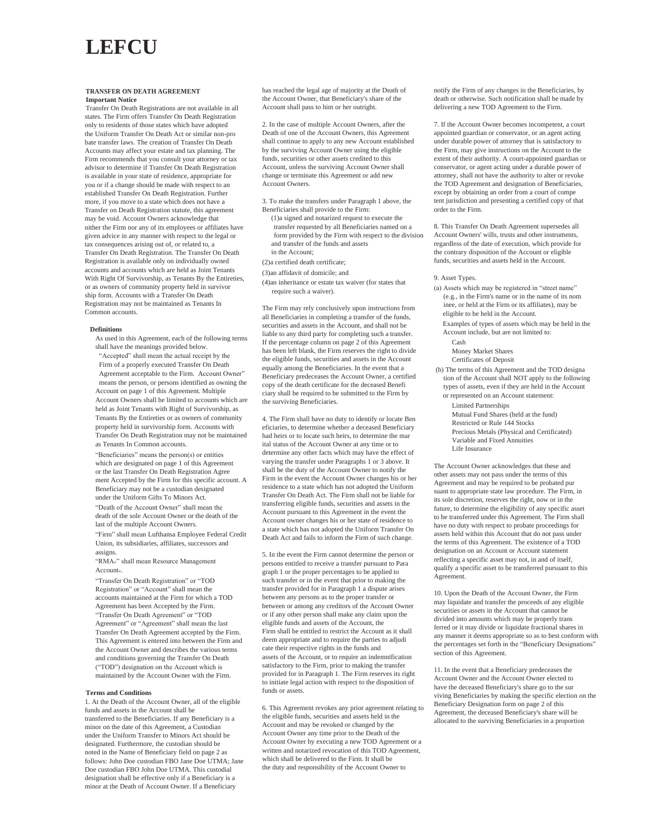# **LEFCU**

#### **TRANSFER ON DEATH AGREEMENT Important Notice**

Transfer On Death Registrations are not available in all states. The Firm offers Transfer On Death Registration only to residents of those states which have adopted the Uniform Transfer On Death Act or similar non-pro bate transfer laws. The creation of Transfer On Death Accounts may affect your estate and tax planning. The Firm recommends that you consult your attorney or tax advisor to determine if Transfer On Death Registration is available in your state of residence, appropriate for you or if a change should be made with respect to an established Transfer On Death Registration. Further more, if you move to a state which does not have a Transfer on Death Registration statute, this agreement may be void. Account Owners acknowledge that nither the Firm nor any of its employees or affiliates have given advice in any manner with respect to the legal or tax consequences arising out of, or related to, a Transfer On Death Registration. The Transfer On Death Registration is available only on individually owned accounts and accounts which are held as Joint Tenants With Right Of Survivorship, as Tenants By the Entireties, or as owners of community property held in survivor ship form. Accounts with a Transfer On Death Registration may not be maintained as Tenants In Common accounts.

#### **Definitions**

As used in this Agreement, each of the following terms shall have the meanings provided below. "Accepted" shall mean the actual receipt by the Firm of a properly executed Transfer On Death Agreement acceptable to the Firm. Account Owner" means the person, or persons identified as owning the Account on page 1 of this Agreement. Multiple Account Owners shall be limited to accounts which are held as Joint Tenants with Right of Survivorship, as Tenants By the Entireties or as owners of community property held in survivorship form. Accounts with Transfer On Death Registration may not be maintained as Tenants In Common accounts.

"Beneficiaries" means the person(s) or entities which are designated on page 1 of this Agreement or the last Transfer On Death Registration Agree ment Accepted by the Firm for this specific account. A Beneficiary may not be a custodian designated under the Uniform Gifts To Minors Act.

"Death of the Account Owner" shall mean the death of the sole Account Owner or the death of the last of the multiple Account Owners.

"Firm" shall mean Lufthansa Employee Federal Credit Union, its subsidiaries, affiliates, successors and assigns.

"RMA®" shall mean Resource Management Account®.

"Transfer On Death Registration" or "TOD Registration" or "Account" shall mean the accounts maintained at the Firm for which a TOD Agreement has been Accepted by the Firm. "Transfer On Death Agreement" or "TOD Agreement" or "Agreement" shall mean the last Transfer On Death Agreement accepted by the Firm. This Agreement is entered into between the Firm and the Account Owner and describes the various term and conditions governing the Transfer On Death ("TOD") designation on the Account which is maintained by the Account Owner with the Firm.

#### **Terms and Conditions**

1. At the Death of the Account Owner, all of the eligible funds and assets in the Account shall be transferred to the Beneficiaries. If any Beneficiary is a minor on the date of this Agreement, a Custodian under the Uniform Transfer to Minors Act should be designated. Furthermore, the custodian should be noted in the Name of Beneficiary field on page 2 as follows: John Doe custodian FBO Jane Doe UTMA; Jane Doe custodian FBO John Doe UTMA. This custodial designation shall be effective only if a Beneficiary is a minor at the Death of Account Owner. If a Beneficiary

has reached the legal age of majority at the Death of the Account Owner, that Beneficiary's share of the Account shall pass to him or her outright.

2. In the case of multiple Account Owners, after the Death of one of the Account Owners, this Agreement shall continue to apply to any new Account established by the surviving Account Owner using the eligible funds, securities or other assets credited to this Account, unless the surviving Account Owner shall change or terminate this Agreement or add new Account Owners.

3. To make the transfers under Paragraph 1 above, the Beneficiaries shall provide to the Firm:

(1)a signed and notarized request to execute the transfer requested by all Beneficiaries named on a form provided by the Firm with respect to the division and transfer of the funds and assets in the Account;

#### (2)a certified death certificate;

(3)an affidavit of domicile; and

(4)an inheritance or estate tax waiver (for states that require such a waiver).

The Firm may rely conclusively upon instructions from all Beneficiaries in completing a transfer of the funds, securities and assets in the Account, and shall not be liable to any third party for completing such a transfer. If the percentage column on page 2 of this Agreement has been left blank, the Firm reserves the right to divide the eligible funds, securities and assets in the Account equally among the Beneficiaries. In the event that a Beneficiary predeceases the Account Owner, a certified copy of the death certificate for the deceased Benefi ciary shall be required to be submitted to the Firm by the surviving Beneficiaries.

4. The Firm shall have no duty to identify or locate Ben eficiaries, to determine whether a deceased Beneficiary had heirs or to locate such heirs, to determine the mar ital status of the Account Owner at any time or to determine any other facts which may have the effect of varying the transfer under Paragraphs 1 or 3 above. It shall be the duty of the Account Owner to notify the Firm in the event the Account Owner changes his or her residence to a state which has not adopted the Uniform Transfer On Death Act. The Firm shall not be liable for transferring eligible funds, securities and assets in the Account pursuant to this Agreement in the event the Account owner changes his or her state of residence to a state which has not adopted the Uniform Transfer On Death Act and fails to inform the Firm of such change.

5. In the event the Firm cannot determine the person or persons entitled to receive a transfer pursuant to Para graph 1 or the proper percentages to be applied to such transfer or in the event that prior to making the transfer provided for in Paragraph 1 a dispute arises between any persons as to the proper transfer or between or among any creditors of the Account Owner or if any other person shall make any claim upon the eligible funds and assets of the Account, the Firm shall be entitled to restrict the Account as it shall deem appropriate and to require the parties to adjudi cate their respective rights in the funds and assets of the Account, or to require an indemnification satisfactory to the Firm, prior to making the transfer provided for in Paragraph 1. The Firm reserves its right to initiate legal action with respect to the disposition of funds or assets.

6. This Agreement revokes any prior agreement relating to the eligible funds, securities and assets held in the Account and may be revoked or changed by the Account Owner any time prior to the Death of the Account Owner by executing a new TOD Agreement or a written and notarized revocation of this TOD Agreement, which shall be delivered to the Firm. It shall be the duty and responsibility of the Account Owner to

notify the Firm of any changes in the Beneficiaries, by death or otherwise. Such notification shall be made by delivering a new TOD Agreement to the Firm.

7. If the Account Owner becomes incompetent, a court appointed guardian or conservator, or an agent acting under durable power of attorney that is satisfactory to the Firm, may give instructions on the Account to the extent of their authority. A court-appointed guardian or conservator, or agent acting under a durable power of attorney, shall not have the authority to alter or revoke the TOD Agreement and designation of Beneficiaries, except by obtaining an order from a court of compe tent jurisdiction and presenting a certified copy of that order to the Firm.

8. This Transfer On Death Agreement supersedes all Account Owners' wills, trusts and other instruments, regardless of the date of execution, which provide for the contrary disposition of the Account or eligible funds, securities and assets held in the Account.

9. Asset Types.

(a) Assets which may be registered in "street name" (e.g., in the Firm's name or in the name of its nom inee, or held at the Firm or its affiliates), may be eligible to be held in the Account.

Examples of types of assets which may be held in the Account include, but are not limited to:

Cash

Money Market Shares Certificates of Deposit

(b) The terms of this Agreement and the TOD designa tion of the Account shall NOT apply to the following types of assets, even if they are held in the Account or represented on an Account statement:

Limited Partnerships

Mutual Fund Shares (held at the fund) Restricted or Rule 144 Stocks Precious Metals (Physical and Certificated) Variable and Fixed Annuities

Life Insurance

The Account Owner acknowledges that these and other assets may not pass under the terms of this Agreement and may be required to be probated pur suant to appropriate state law procedure. The Firm, in its sole discretion, reserves the right, now or in the future, to determine the eligibility of any specific asset to be transferred under this Agreement. The Firm shall have no duty with respect to probate proceedings for assets held within this Account that do not pass under the terms of this Agreement. The existence of a TOD designation on an Account or Account statement reflecting a specific asset may not, in and of itself, qualify a specific asset to be transferred pursuant to this Agreement.

10. Upon the Death of the Account Owner, the Firm may liquidate and transfer the proceeds of any eligible securities or assets in the Account that cannot be divided into amounts which may be properly trans ferred or it may divide or liquidate fractional shares in any manner it deems appropriate so as to best conform with the percentages set forth in the "Beneficiary Designations" section of this Agreement.

11. In the event that a Beneficiary predeceases the Account Owner and the Account Owner elected to have the deceased Beneficiary's share go to the sur viving Beneficiaries by making the specific election on the Beneficiary Designation form on page 2 of this Agreement, the deceased Beneficiary's share will be allocated to the surviving Beneficiaries in a proportion